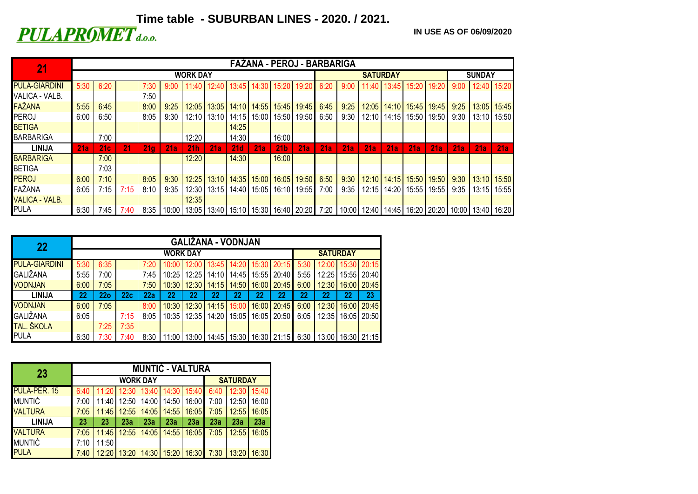## Time table - SUBURBAN LINES - 2020. / 2021.<br>**PULAPROMET** d.o.o.

**IN USE AS OF 06/09/2020**

| 21                    |      | FAZANA - PEROJ - BARBARIGA |      |                 |            |                 |                   |       |                               |                 |                                                                                                                              |                 |      |        |       |                       |       |      |               |       |  |
|-----------------------|------|----------------------------|------|-----------------|------------|-----------------|-------------------|-------|-------------------------------|-----------------|------------------------------------------------------------------------------------------------------------------------------|-----------------|------|--------|-------|-----------------------|-------|------|---------------|-------|--|
|                       |      |                            |      |                 |            | <b>WORK DAY</b> |                   |       |                               |                 |                                                                                                                              | <b>SATURDAY</b> |      |        |       |                       |       |      | <b>SUNDAY</b> |       |  |
| <b>PULA-GIARDINI</b>  | 5:30 | 6:20                       |      | 7:30            | $9:00^{-}$ |                 | 12:40             |       | $13:45$ 14:30                 | 15:20           | 19:20                                                                                                                        | 6:20            | 9:00 | 1:40   | 13:45 | 15:20                 | 19:20 | 9:00 | 12:40 15:20   |       |  |
| VALICA - VALB.        |      |                            |      | 7:50            |            |                 |                   |       |                               |                 |                                                                                                                              |                 |      |        |       |                       |       |      |               |       |  |
| FAŽANA                | 5:55 | 6:45                       |      | 8:00            | 9:25       |                 | $12:05$ 13:05     |       | 14:10   14:55   15:45         |                 | $19:45$ 6:45                                                                                                                 |                 | 9:25 | 12:05  |       | 14:10   15:45   19:45 |       | 9:25 | 13:05         | 15:45 |  |
| <b>PEROJ</b>          | 6:00 | 6:50                       |      | 8:05            | 9:30       |                 | 12:10 13:10       |       | 14:15   15:00   15:50         |                 | 19:50                                                                                                                        | 6:50            | 9:30 | 12:101 |       | 14:15   15:50         | 19:50 | 9:30 | 13:10         | 15:50 |  |
| <b>BETIGA</b>         |      |                            |      |                 |            |                 |                   | 14:25 |                               |                 |                                                                                                                              |                 |      |        |       |                       |       |      |               |       |  |
| <b>BARBARIGA</b>      |      | 7:00                       |      |                 |            | 12:20           |                   | 14:30 |                               | 16:00           |                                                                                                                              |                 |      |        |       |                       |       |      |               |       |  |
| <b>LINIJA</b>         | 21a  | 21c                        | 21   | 21 <sub>q</sub> | 21a        | 21h             | 21a               | 21d   | 21a                           | 21 <sub>b</sub> | 21a                                                                                                                          | 21a             | 21a  | 21a    | 21a   | 21a                   | 21a   | 21a  | 21a           | 21a   |  |
| <b>BARBARIGA</b>      |      | 7:00                       |      |                 |            | 12:20           |                   | 14:30 |                               | 16:00           |                                                                                                                              |                 |      |        |       |                       |       |      |               |       |  |
| <b>BETIGA</b>         |      | 7:03                       |      |                 |            |                 |                   |       |                               |                 |                                                                                                                              |                 |      |        |       |                       |       |      |               |       |  |
| <b>PEROJ</b>          | 6:00 | 7:10                       |      | 8:05            | 9:30       |                 |                   |       | 12:25   13:10   14:35   15:00 | 16:05           | 19:50 6:50                                                                                                                   |                 | 9:30 |        |       | 12:10   14:15   15:50 | 19:50 | 9:30 | $13:10$ 15:50 |       |  |
| FAŽANA                | 6:05 | 7:15                       | 7:15 | 8:10            | 9:35       |                 | $12:30$   $13:15$ | 14:40 | 15:05                         | 16:10           | 19:55                                                                                                                        | 7:00            | 9:35 | 12:15  | 14:20 | 15:55                 | 19:55 | 9:35 | 13:15         | 15:55 |  |
| <b>VALICA - VALB.</b> |      |                            |      |                 |            | 12:35           |                   |       |                               |                 |                                                                                                                              |                 |      |        |       |                       |       |      |               |       |  |
| <b>PULA</b>           | 6:30 | 7:45                       | 7:40 | $8:35$ 1        |            |                 |                   |       |                               |                 | 10:00   13:05   13:40   15:10   15:30   16:40   20:20   7:20   10:00   12:40   14:45   16:20   20:20   10:00   13:40   16:20 |                 |      |        |       |                       |       |      |               |       |  |

| 22                   | <b>GALIŽANA - VODNJAN</b> |      |      |      |                 |       |       |       |       |                                                                      |      |       |    |                       |  |
|----------------------|---------------------------|------|------|------|-----------------|-------|-------|-------|-------|----------------------------------------------------------------------|------|-------|----|-----------------------|--|
|                      |                           |      |      |      | <b>SATURDAY</b> |       |       |       |       |                                                                      |      |       |    |                       |  |
| <b>PULA-GIARDINI</b> | 5:30                      | 6:35 |      | 7:20 | 10:00           | 12:00 |       |       |       | 13:45   14:20   15:30   20:15                                        | 5:30 |       |    | 12:00   15:30   20:15 |  |
| <b>GALIŽANA</b>      | 5:55                      | 7:00 |      | 7:45 | 10:25           | 12:25 | 14:10 |       |       | 14:45 15:55 20:40                                                    | 5:55 | 12:25 |    | 15:55 20:40           |  |
| <b>VODNJAN</b>       | 6:00                      | 7:05 |      | 7:50 | 10:30           | 12:30 | 14:15 | 14:50 |       | 16:00 20:45                                                          | 6:00 | 12:30 |    | 16:00   20:45         |  |
| <b>LINIJA</b>        | 22                        | 22o  | 22c  | 22a  | 22              | 22    | 22    | 22    | 22    | 22                                                                   | 22   | 22    | 22 | 23                    |  |
| VODNJAN              | 6:00                      | 7:05 |      | 8:00 | 10:30           | 12:30 | 14:15 | 15:00 | 16:00 | 20:45                                                                | 6:00 | 12:30 |    | 16:00 20:45           |  |
| <b>GALIŽANA</b>      | 6:05                      |      | 7:15 | 8:05 | 10:35           | 12:35 | 14:20 | 15:05 |       | 16:05 20:50                                                          | 6:05 | 12:35 |    | 16:05 20:50           |  |
| TAL. ŠKOLA           |                           | 7:25 | 7:35 |      |                 |       |       |       |       |                                                                      |      |       |    |                       |  |
| PULA                 | 6:30                      | 7:30 | 7:40 |      | $8:30$   11:00  |       |       |       |       | 13:00   14:45   15:30   16:30   21:15   6:30   13:00   16:30   21:15 |      |       |    |                       |  |

| 23                  | <b>MUNTIĆ - VALTURA</b> |       |                 |       |                 |                               |      |                                          |       |  |  |  |  |  |
|---------------------|-------------------------|-------|-----------------|-------|-----------------|-------------------------------|------|------------------------------------------|-------|--|--|--|--|--|
|                     |                         |       | <b>WORK DAY</b> |       | <b>SATURDAY</b> |                               |      |                                          |       |  |  |  |  |  |
| <b>PULA-PER. 15</b> | 6:40                    |       |                 |       |                 | 11:20 12:30 13:40 14:30 15:40 | 6:40 | 12:30 15:40                              |       |  |  |  |  |  |
| <b>MUNTIĆ</b>       | 7:00                    | 11:40 | 12:50           | 14:00 |                 | 14:50 16:00                   | 7:00 | 12:50                                    | 16:00 |  |  |  |  |  |
| <b>VALTURA</b>      | 7:05                    | 11:45 | 12:55           | 14:05 | 14:55           | 16:05                         | 7:05 | 12:55                                    | 16:05 |  |  |  |  |  |
| <b>LINIJA</b>       | 23                      | 23    | 23a             | 23a   | 23a             | 23a                           | 23a  | 23a                                      | 23a   |  |  |  |  |  |
| <b>VALTURA</b>      | 7:05                    | 11:45 | 12:55           | 14:05 | 14:55           | 16:05                         | 7:05 | 12:55                                    | 16:05 |  |  |  |  |  |
| <b>MUNTIĆ</b>       | 7:10                    | 11:50 |                 |       |                 |                               |      |                                          |       |  |  |  |  |  |
| <b>PULA</b>         | 7:40                    | 12:20 |                 |       |                 |                               |      | 13:20 14:30 15:20 16:30 7:30 13:20 16:30 |       |  |  |  |  |  |